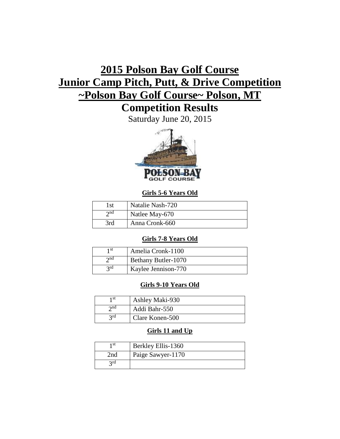# **2015 Polson Bay Golf Course Junior Camp Pitch, Putt, & Drive Competition ~Polson Bay Golf Course~ Polson, MT**

## **Competition Results**

Saturday June 20, 2015



## **Girls 5-6 Years Old**

| l st        | Natalie Nash-720 |
|-------------|------------------|
| $\gamma$ nd | Natlee May-670   |
| 3rd         | Anna Cronk-660   |

## **Girls 7-8 Years Old**

| 1 st        | Amelia Cronk-1100   |
|-------------|---------------------|
| $\gamma$ nd | Bethany Butler-1070 |
| 2rd         | Kaylee Jennison-770 |

## **Girls 9-10 Years Old**

| 1 st        | Ashley Maki-930 |
|-------------|-----------------|
| $\gamma$ nd | Addi Bahr-550   |
| 2rd         | Clare Konen-500 |

## **Girls 11 and Up**

| 1 st | Berkley Ellis-1360 |
|------|--------------------|
| 2nd  | Paige Sawyer-1170  |
| 2rd  |                    |